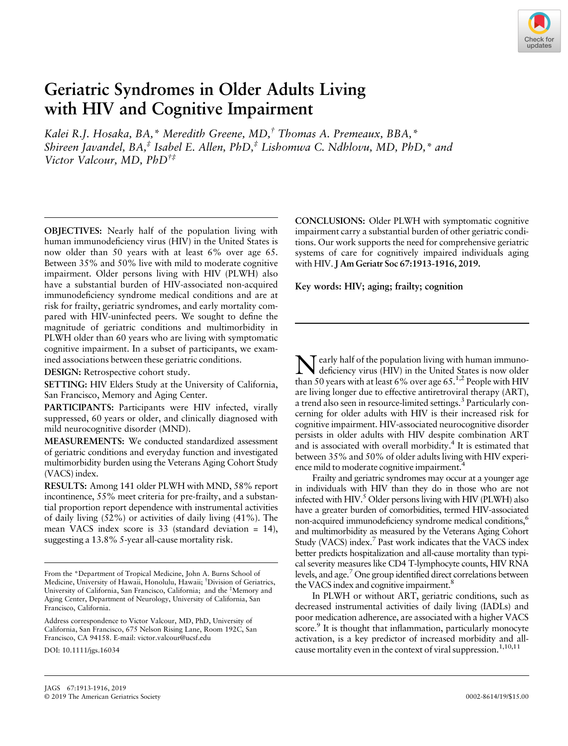

# Geriatric Syndromes in Older Adults Living with HIV and Cognitive Impairment

Kalei R.J. Hosaka, BA,\* Meredith Greene, MD,† Thomas A. Premeaux, BBA,\* Shireen Javandel,  $BA^{\dagger}$  Isabel E. Allen, PhD,<sup>‡</sup> Lishomwa C. Ndhlovu, MD, PhD,<sup>\*</sup> and Victor Valcour, MD, PhD†‡

OBJECTIVES: Nearly half of the population living with human immunodeficiency virus (HIV) in the United States is now older than 50 years with at least 6% over age 65. Between 35% and 50% live with mild to moderate cognitive impairment. Older persons living with HIV (PLWH) also have a substantial burden of HIV-associated non-acquired immunodeficiency syndrome medical conditions and are at risk for frailty, geriatric syndromes, and early mortality compared with HIV-uninfected peers. We sought to define the magnitude of geriatric conditions and multimorbidity in PLWH older than 60 years who are living with symptomatic cognitive impairment. In a subset of participants, we examined associations between these geriatric conditions.

DESIGN: Retrospective cohort study.

SETTING: HIV Elders Study at the University of California, San Francisco, Memory and Aging Center.

PARTICIPANTS: Participants were HIV infected, virally suppressed, 60 years or older, and clinically diagnosed with mild neurocognitive disorder (MND).

MEASUREMENTS: We conducted standardized assessment of geriatric conditions and everyday function and investigated multimorbidity burden using the Veterans Aging Cohort Study (VACS) index.

RESULTS: Among 141 older PLWH with MND, 58% report incontinence, 55% meet criteria for pre-frailty, and a substantial proportion report dependence with instrumental activities of daily living (52%) or activities of daily living (41%). The mean VACS index score is 33 (standard deviation = 14), suggesting a 13.8% 5-year all-cause mortality risk.

DOI: 10.1111/jgs.16034

CONCLUSIONS: Older PLWH with symptomatic cognitive impairment carry a substantial burden of other geriatric conditions. Our work supports the need for comprehensive geriatric systems of care for cognitively impaired individuals aging with HIV. J Am Geriatr Soc 67:1913-1916, 2019.

Key words: HIV; aging; frailty; cognition

 $\mathsf{T}$  early half of the population living with human immunodeficiency virus (HIV) in the United States is now older than 50 years with at least 6% over age  $65.<sup>1,2</sup>$  People with HIV are living longer due to effective antiretroviral therapy (ART), a trend also seen in resource-limited settings.<sup>3</sup> Particularly concerning for older adults with HIV is their increased risk for cognitive impairment. HIV-associated neurocognitive disorder persists in older adults with HIV despite combination ART and is associated with overall morbidity.<sup>4</sup> It is estimated that between 35% and 50% of older adults living with HIV experience mild to moderate cognitive impairment.<sup>4</sup>

Frailty and geriatric syndromes may occur at a younger age in individuals with HIV than they do in those who are not infected with HIV.<sup>5</sup> Older persons living with HIV (PLWH) also have a greater burden of comorbidities, termed HIV-associated non-acquired immunodeficiency syndrome medical conditions,<sup>6</sup> and multimorbidity as measured by the Veterans Aging Cohort Study (VACS) index.<sup>7</sup> Past work indicates that the VACS index better predicts hospitalization and all-cause mortality than typical severity measures like CD4 T-lymphocyte counts, HIV RNA levels, and age.7 One group identified direct correlations between the VACS index and cognitive impairment.<sup>8</sup>

In PLWH or without ART, geriatric conditions, such as decreased instrumental activities of daily living (IADLs) and poor medication adherence, are associated with a higher VACS score.<sup>9</sup> It is thought that inflammation, particularly monocyte activation, is a key predictor of increased morbidity and allcause mortality even in the context of viral suppression.<sup>1,10,11</sup>

From the \*Department of Tropical Medicine, John A. Burns School of Medicine, University of Hawaii, Honolulu, Hawaii; † Division of Geriatrics, University of California, San Francisco, California; and the ‡ Memory and Aging Center, Department of Neurology, University of California, San Francisco, California.

Address correspondence to Victor Valcour, MD, PhD, University of California, San Francisco, 675 Nelson Rising Lane, Room 192C, San Francisco, CA 94158. E-mail: [victor.valcour@ucsf.edu](mailto:victor.valcour@ucsf.edu)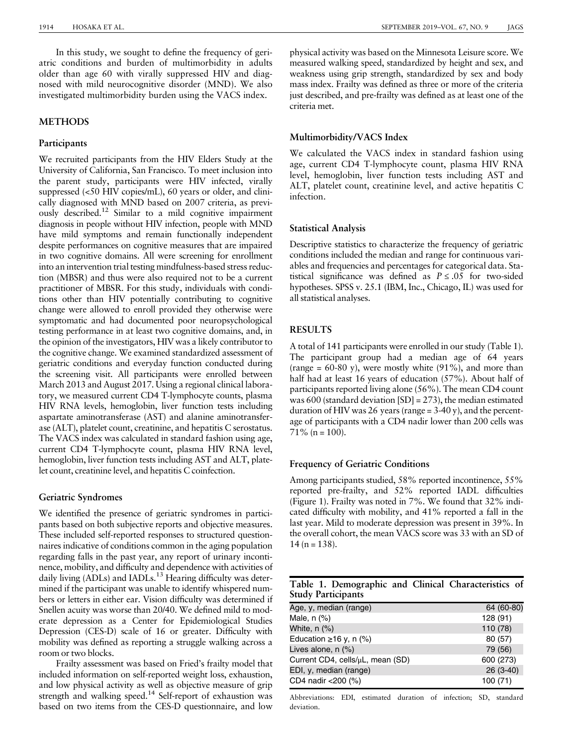In this study, we sought to define the frequency of geriatric conditions and burden of multimorbidity in adults older than age 60 with virally suppressed HIV and diagnosed with mild neurocognitive disorder (MND). We also investigated multimorbidity burden using the VACS index.

# **METHODS**

#### Participants

We recruited participants from the HIV Elders Study at the University of California, San Francisco. To meet inclusion into the parent study, participants were HIV infected, virally suppressed (<50 HIV copies/mL), 60 years or older, and clinically diagnosed with MND based on 2007 criteria, as previously described.12 Similar to a mild cognitive impairment diagnosis in people without HIV infection, people with MND have mild symptoms and remain functionally independent despite performances on cognitive measures that are impaired in two cognitive domains. All were screening for enrollment into an intervention trial testing mindfulness-based stress reduction (MBSR) and thus were also required not to be a current practitioner of MBSR. For this study, individuals with conditions other than HIV potentially contributing to cognitive change were allowed to enroll provided they otherwise were symptomatic and had documented poor neuropsychological testing performance in at least two cognitive domains, and, in the opinion of the investigators, HIV was a likely contributor to the cognitive change. We examined standardized assessment of geriatric conditions and everyday function conducted during the screening visit. All participants were enrolled between March 2013 and August 2017. Using a regional clinical laboratory, we measured current CD4 T-lymphocyte counts, plasma HIV RNA levels, hemoglobin, liver function tests including aspartate aminotransferase (AST) and alanine aminotransferase (ALT), platelet count, creatinine, and hepatitis C serostatus. The VACS index was calculated in standard fashion using age, current CD4 T-lymphocyte count, plasma HIV RNA level, hemoglobin, liver function tests including AST and ALT, platelet count, creatinine level, and hepatitis C coinfection.

## Geriatric Syndromes

We identified the presence of geriatric syndromes in participants based on both subjective reports and objective measures. These included self-reported responses to structured questionnaires indicative of conditions common in the aging population regarding falls in the past year, any report of urinary incontinence, mobility, and difficulty and dependence with activities of daily living (ADLs) and IADLs.<sup>13</sup> Hearing difficulty was determined if the participant was unable to identify whispered numbers or letters in either ear. Vision difficulty was determined if Snellen acuity was worse than 20/40. We defined mild to moderate depression as a Center for Epidemiological Studies Depression (CES-D) scale of 16 or greater. Difficulty with mobility was defined as reporting a struggle walking across a room or two blocks.

Frailty assessment was based on Fried's frailty model that included information on self-reported weight loss, exhaustion, and low physical activity as well as objective measure of grip strength and walking speed.<sup>14</sup> Self-report of exhaustion was based on two items from the CES-D questionnaire, and low

physical activity was based on the Minnesota Leisure score. We measured walking speed, standardized by height and sex, and weakness using grip strength, standardized by sex and body mass index. Frailty was defined as three or more of the criteria just described, and pre-frailty was defined as at least one of the criteria met.

# Multimorbidity/VACS Index

We calculated the VACS index in standard fashion using age, current CD4 T-lymphocyte count, plasma HIV RNA level, hemoglobin, liver function tests including AST and ALT, platelet count, creatinine level, and active hepatitis C infection.

## Statistical Analysis

Descriptive statistics to characterize the frequency of geriatric conditions included the median and range for continuous variables and frequencies and percentages for categorical data. Statistical significance was defined as  $P \leq .05$  for two-sided hypotheses. SPSS v. 25.1 (IBM, Inc., Chicago, IL) was used for all statistical analyses.

# **RESULTS**

A total of 141 participants were enrolled in our study (Table 1). The participant group had a median age of 64 years (range =  $60-80$  y), were mostly white  $(91\%)$ , and more than half had at least 16 years of education (57%). About half of participants reported living alone (56%). The mean CD4 count was 600 (standard deviation [SD] = 273), the median estimated duration of HIV was 26 years (range = 3-40 y), and the percentage of participants with a CD4 nadir lower than 200 cells was  $71\%$  (n = 100).

# Frequency of Geriatric Conditions

Among participants studied, 58% reported incontinence, 55% reported pre-frailty, and 52% reported IADL difficulties (Figure 1). Frailty was noted in 7%. We found that 32% indicated difficulty with mobility, and 41% reported a fall in the last year. Mild to moderate depression was present in 39%. In the overall cohort, the mean VACS score was 33 with an SD of  $14 (n = 138)$ .

|                           |  | Table 1. Demographic and Clinical Characteristics of |  |
|---------------------------|--|------------------------------------------------------|--|
| <b>Study Participants</b> |  |                                                      |  |

| Age, y, median (range)                | 64 (60-80) |
|---------------------------------------|------------|
| Male, $n$ $(\%)$                      | 128 (91)   |
| White, $n$ $\left(\frac{9}{6}\right)$ | 110 (78)   |
| Education $\geq 16$ y, n (%)          | 80 (57)    |
| Lives alone, n (%)                    | 79 (56)    |
| Current CD4, cells/µL, mean (SD)      | 600 (273)  |
| EDI, y, median (range)                | 26 (3-40)  |
| CD4 nadir <200 (%)                    | 100(71)    |

Abbreviations: EDI, estimated duration of infection; SD, standard deviation.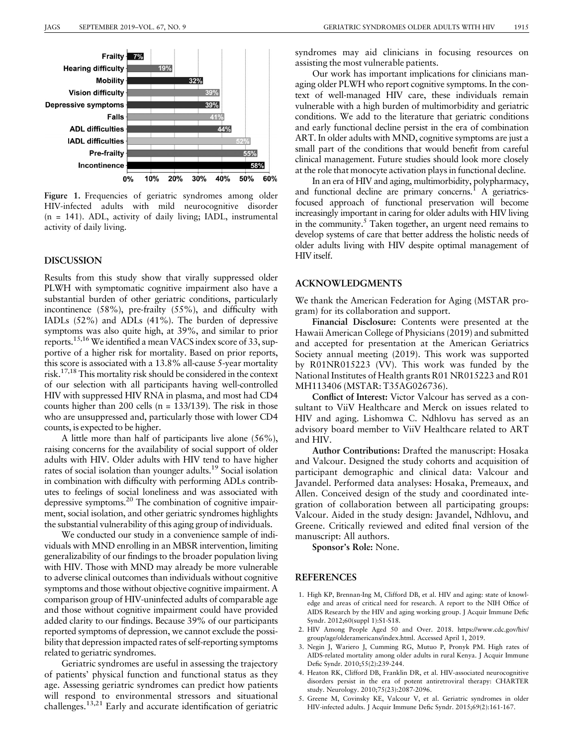

Figure 1. Frequencies of geriatric syndromes among older HIV-infected adults with mild neurocognitive disorder (n = 141). ADL, activity of daily living; IADL, instrumental activity of daily living.

### DISCUSSION

Results from this study show that virally suppressed older PLWH with symptomatic cognitive impairment also have a substantial burden of other geriatric conditions, particularly incontinence (58%), pre-frailty (55%), and difficulty with IADLs (52%) and ADLs (41%). The burden of depressive symptoms was also quite high, at 39%, and similar to prior reports.15,16We identified a mean VACS index score of 33, supportive of a higher risk for mortality. Based on prior reports, this score is associated with a 13.8% all-cause 5-year mortality risk.17,18 This mortality risk should be considered in the context of our selection with all participants having well-controlled HIV with suppressed HIV RNA in plasma, and most had CD4 counts higher than 200 cells (n = 133/139). The risk in those who are unsuppressed and, particularly those with lower CD4 counts, is expected to be higher.

A little more than half of participants live alone (56%), raising concerns for the availability of social support of older adults with HIV. Older adults with HIV tend to have higher rates of social isolation than younger adults.19 Social isolation in combination with difficulty with performing ADLs contributes to feelings of social loneliness and was associated with depressive symptoms.20 The combination of cognitive impairment, social isolation, and other geriatric syndromes highlights the substantial vulnerability of this aging group of individuals.

We conducted our study in a convenience sample of individuals with MND enrolling in an MBSR intervention, limiting generalizability of our findings to the broader population living with HIV. Those with MND may already be more vulnerable to adverse clinical outcomes than individuals without cognitive symptoms and those without objective cognitive impairment. A comparison group of HIV-uninfected adults of comparable age and those without cognitive impairment could have provided added clarity to our findings. Because 39% of our participants reported symptoms of depression, we cannot exclude the possibility that depression impacted rates of self-reporting symptoms related to geriatric syndromes.

Geriatric syndromes are useful in assessing the trajectory of patients' physical function and functional status as they age. Assessing geriatric syndromes can predict how patients will respond to environmental stressors and situational challenges.<sup>13,21</sup> Early and accurate identification of geriatric syndromes may aid clinicians in focusing resources on assisting the most vulnerable patients.

Our work has important implications for clinicians managing older PLWH who report cognitive symptoms. In the context of well-managed HIV care, these individuals remain vulnerable with a high burden of multimorbidity and geriatric conditions. We add to the literature that geriatric conditions and early functional decline persist in the era of combination ART. In older adults with MND, cognitive symptoms are just a small part of the conditions that would benefit from careful clinical management. Future studies should look more closely at the role that monocyte activation plays in functional decline.

In an era of HIV and aging, multimorbidity, polypharmacy, and functional decline are primary concerns.<sup>1</sup> A geriatricsfocused approach of functional preservation will become increasingly important in caring for older adults with HIV living in the community.<sup>5</sup> Taken together, an urgent need remains to develop systems of care that better address the holistic needs of older adults living with HIV despite optimal management of HIV itself.

## ACKNOWLEDGMENTS

We thank the American Federation for Aging (MSTAR program) for its collaboration and support.

Financial Disclosure: Contents were presented at the Hawaii American College of Physicians (2019) and submitted and accepted for presentation at the American Geriatrics Society annual meeting (2019). This work was supported by R01NR015223 (VV). This work was funded by the National Institutes of Health grants R01 NR015223 and R01 MH113406 (MSTAR: T35AG026736).

Conflict of Interest: Victor Valcour has served as a consultant to ViiV Healthcare and Merck on issues related to HIV and aging. Lishomwa C. Ndhlovu has served as an advisory board member to ViiV Healthcare related to ART and HIV.

Author Contributions: Drafted the manuscript: Hosaka and Valcour. Designed the study cohorts and acquisition of participant demographic and clinical data: Valcour and Javandel. Performed data analyses: Hosaka, Premeaux, and Allen. Conceived design of the study and coordinated integration of collaboration between all participating groups: Valcour. Aided in the study design: Javandel, Ndhlovu, and Greene. Critically reviewed and edited final version of the manuscript: All authors.

Sponsor's Role: None.

# **REFERENCES**

- 1. High KP, Brennan-Ing M, Clifford DB, et al. HIV and aging: state of knowledge and areas of critical need for research. A report to the NIH Office of AIDS Research by the HIV and aging working group. J Acquir Immune Defic Syndr. 2012;60(suppl 1):S1-S18.
- 2. HIV Among People Aged 50 and Over. 2018. [https://www.cdc.gov/hiv/](https://www.cdc.gov/hiv/group/age/olderamericans/index.html) [group/age/olderamericans/index.html.](https://www.cdc.gov/hiv/group/age/olderamericans/index.html) Accessed April 1, 2019.
- 3. Negin J, Wariero J, Cumming RG, Mutuo P, Pronyk PM. High rates of AIDS-related mortality among older adults in rural Kenya. J Acquir Immune Defic Syndr. 2010;55(2):239-244.
- 4. Heaton RK, Clifford DB, Franklin DR, et al. HIV-associated neurocognitive disorders persist in the era of potent antiretroviral therapy: CHARTER study. Neurology. 2010;75(23):2087-2096.
- 5. Greene M, Covinsky KE, Valcour V, et al. Geriatric syndromes in older HIV-infected adults. J Acquir Immune Defic Syndr. 2015;69(2):161-167.